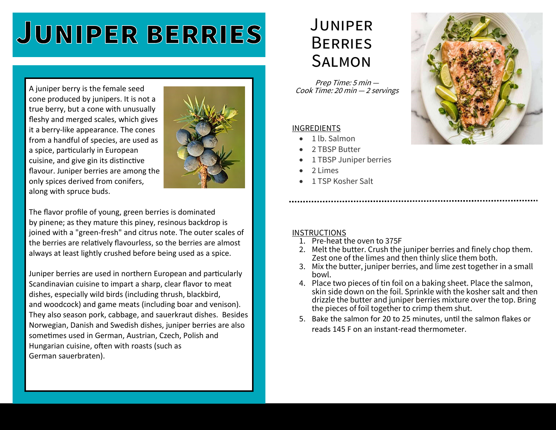# **JUNIPER BERRIES**

A juniper berry is the female seed cone produced by junipers. It is not a true berry, but a cone with unusually fleshy and merged scales, which gives it a berry-like appearance. The cones from a handful of species, are used as a spice, particularly in European cuisine, and give gin its distinctive flavour. Juniper berries are among the only spices derived from conifers, along with spruce buds.



The flavor profile of young, green berries is dominated by pinene; as they mature this piney, resinous backdrop is joined with a "green-fresh" and citrus note. The outer scales of the berries are relatively flavourless, so the berries are almost always at least lightly crushed before being used as a spice.

Juniper berries are used in northern European and particularly Scandinavian cuisine to impart a sharp, clear flavor to meat dishes, especially wild birds (including thrush, blackbird, and woodcock) and game meats (including boar and venison). They also season pork, cabbage, and sauerkraut dishes. Besides Norwegian, Danish and Swedish dishes, juniper berries are also sometimes used in German, Austrian, Czech, Polish and Hungarian cuisine, often with roasts (such as German sauerbraten).

## **JUNIPER BERRIES SALMON**

Prep Time: 5 min — Cook Time: 20 min — <sup>2</sup>servings

#### INGREDIENTS

- 1 lb. Salmon
- 2 TBSP Butter
- 1 TBSP Juniper berries
- 2 Limes
- 1 TSP Kosher Salt

#### **INSTRUCTIONS**

- 1. Pre-heat the oven to 375F
- 2. Melt the butter. Crush the juniper berries and finely chop them. Zest one of the limes and then thinly slice them both.
- 3. Mix the butter, juniper berries, and lime zest together in a small bowl.
- 4. Place two pieces of tin foil on a baking sheet. Place the salmon, skin side down on the foil. Sprinkle with the kosher salt and then drizzle the butter and juniper berries mixture over the top. Bring the pieces of foil together to crimp them shut.
- 5. Bake the salmon for 20 to 25 minutes, until the salmon flakes or reads 145 F on an instant-read thermometer.